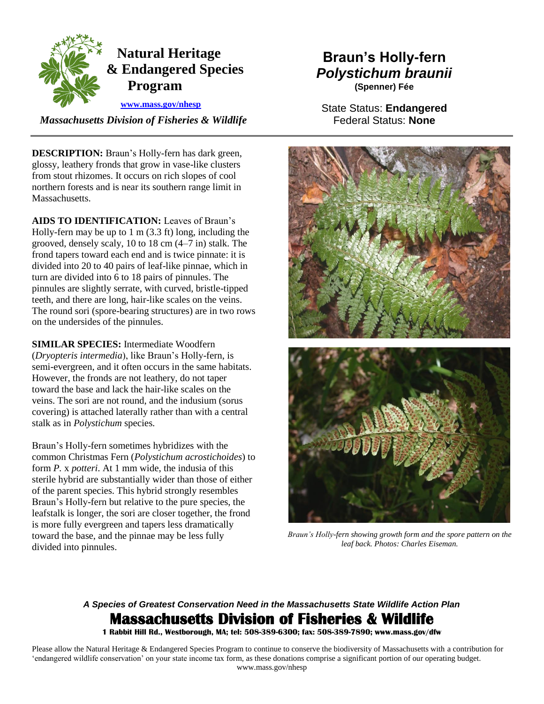

## **Natural Heritage & Endangered Species Program**

 **[www.mass.gov/nhesp](http://www.mass.gov/eea/agencies/dfg/dfw/natural-heritage/)** 

 *Massachusetts Division of Fisheries & Wildlife*

**DESCRIPTION:** Braun's Holly-fern has dark green, glossy, leathery fronds that grow in vase-like clusters from stout rhizomes. It occurs on rich slopes of cool northern forests and is near its southern range limit in **Massachusetts** 

 frond tapers toward each end and is twice pinnate: it is on the undersides of the pinnules. **AIDS TO IDENTIFICATION:** Leaves of Braun's Holly-fern may be up to 1 m (3.3 ft) long, including the grooved, densely scaly, 10 to 18 cm (4–7 in) stalk. The divided into 20 to 40 pairs of leaf-like pinnae, which in turn are divided into 6 to 18 pairs of pinnules. The pinnules are slightly serrate, with curved, bristle-tipped teeth, and there are long, hair-like scales on the veins. The round sori (spore-bearing structures) are in two rows

**SIMILAR SPECIES:** Intermediate Woodfern (*Dryopteris intermedia*), like Braun's Holly-fern, is semi-evergreen, and it often occurs in the same habitats. However, the fronds are not leathery, do not taper toward the base and lack the hair-like scales on the veins. The sori are not round, and the indusium (sorus covering) is attached laterally rather than with a central stalk as in *Polystichum* species.

 form *P.* x *potteri*. At 1 mm wide, the indusia of this sterile hybrid are substantially wider than those of either leafstalk is longer, the sori are closer together, the frond Braun's Holly-fern sometimes hybridizes with the common Christmas Fern (*Polystichum acrostichoides*) to of the parent species. This hybrid strongly resembles Braun's Holly-fern but relative to the pure species, the is more fully evergreen and tapers less dramatically toward the base, and the pinnae may be less fully divided into pinnules.

# **Braun's Holly-fern**  *Polystichum braunii*

**(Spenner) Fée** 

State Status: **Endangered**  Federal Status: **None** 



 *Braun's Holly-fern showing growth form and the spore pattern on the leaf back. Photos: Charles Eiseman.* 

### *A Species of Greatest Conservation Need in the Massachusetts State Wildlife Action Plan*  **Massachusetts Division of Fisheries & Wildlife**

 **1 Rabbit Hill Rd., Westborough, MA; tel: 508-389-6300; fax: 508-389-7890; www.mass.gov/dfw** 

 Please allow the Natural Heritage & Endangered Species Program to continue to conserve the biodiversity of Massachusetts with a contribution for 'endangered wildlife conservation' on your state income tax form, as these donations comprise a significant portion of our operating budget. www.mass.gov/nhesp